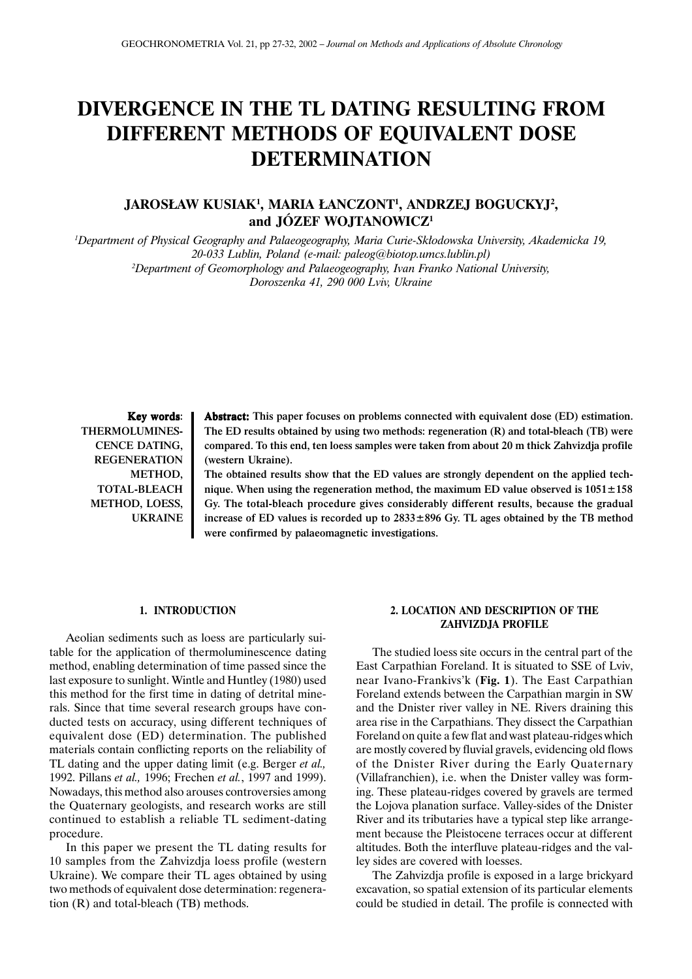# **DIVERGENCE IN THE TL DATING RESULTING FROM DIFFERENT METHODS OF EQUIVALENT DOSE DETERMINATION**

## **JAROS£AW KUSIAK1 , MARIA £ANCZONT1 , ANDRZEJ BOGUCKYJ2 , and JÓZEF WOJTANOWICZ1**

*1 Department of Physical Geography and Palaeogeography, Maria Curie-Sk³odowska University, Akademicka 19, 20-033 Lublin, Poland (e-mail: paleog@biotop.umcs.lublin.pl) 2 Department of Geomorphology and Palaeogeography, Ivan Franko National University, Doroszenka 41, 290 000 Lviv, Ukraine*

Key words: THERMOLUMINES-CENCE DATING, REGENERATION METHOD, TOTAL-BLEACH METHOD, LOESS, UKRAINE Abstract: This paper focuses on problems connected with equivalent dose (ED) estimation. The ED results obtained by using two methods: regeneration (R) and total-bleach (TB) were compared. To this end, ten loess samples were taken from about 20 m thick Zahvizdja profile (western Ukraine).

The obtained results show that the ED values are strongly dependent on the applied technique. When using the regeneration method, the maximum ED value observed is  $1051 \pm 158$ Gy. The total-bleach procedure gives considerably different results, because the gradual increase of ED values is recorded up to  $2833\pm896$  Gy. TL ages obtained by the TB method were confirmed by palaeomagnetic investigations.

#### **1. INTRODUCTION**

Aeolian sediments such as loess are particularly suitable for the application of thermoluminescence dating method, enabling determination of time passed since the last exposure to sunlight. Wintle and Huntley (1980) used this method for the first time in dating of detrital minerals. Since that time several research groups have conducted tests on accuracy, using different techniques of equivalent dose (ED) determination. The published materials contain conflicting reports on the reliability of TL dating and the upper dating limit (e.g. Berger *et al.,* 1992. Pillans *et al.,* 1996; Frechen *et al.*, 1997 and 1999). Nowadays, this method also arouses controversies among the Quaternary geologists, and research works are still continued to establish a reliable TL sediment-dating procedure.

In this paper we present the TL dating results for 10 samples from the Zahvizdja loess profile (western Ukraine). We compare their TL ages obtained by using two methods of equivalent dose determination: regeneration (R) and total-bleach (TB) methods.

## **2. LOCATION AND DESCRIPTION OF THE ZAHVIZDJA PROFILE**

The studied loess site occurs in the central part of the East Carpathian Foreland. It is situated to SSE of Lviv, near Ivano-Frankivs'k (**Fig. 1**). The East Carpathian Foreland extends between the Carpathian margin in SW and the Dnister river valley in NE. Rivers draining this area rise in the Carpathians. They dissect the Carpathian Foreland on quite a few flat and wast plateau-ridges which are mostly covered by fluvial gravels, evidencing old flows of the Dnister River during the Early Quaternary (Villafranchien), i.e. when the Dnister valley was forming. These plateau-ridges covered by gravels are termed the Lojova planation surface. Valley-sides of the Dnister River and its tributaries have a typical step like arrangement because the Pleistocene terraces occur at different altitudes. Both the interfluve plateau-ridges and the valley sides are covered with loesses.

The Zahvizdja profile is exposed in a large brickyard excavation, so spatial extension of its particular elements could be studied in detail. The profile is connected with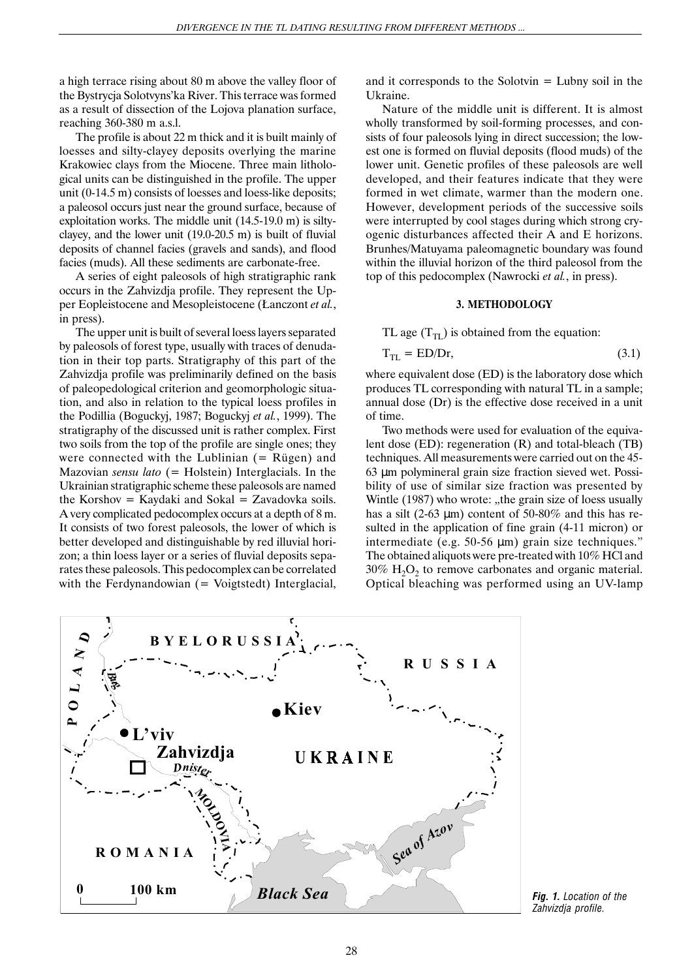a high terrace rising about 80 m above the valley floor of the Bystrycja Solotvyns'ka River. This terrace was formed as a result of dissection of the Lojova planation surface, reaching 360-380 m a.s.l.

The profile is about 22 m thick and it is built mainly of loesses and silty-clayey deposits overlying the marine Krakowiec clays from the Miocene. Three main lithological units can be distinguished in the profile. The upper unit (0-14.5 m) consists of loesses and loess-like deposits; a paleosol occurs just near the ground surface, because of exploitation works. The middle unit (14.5-19.0 m) is siltyclayey, and the lower unit (19.0-20.5 m) is built of fluvial deposits of channel facies (gravels and sands), and flood facies (muds). All these sediments are carbonate-free.

A series of eight paleosols of high stratigraphic rank occurs in the Zahvizdja profile. They represent the Upper Eopleistocene and Mesopleistocene (£anczont *et al.*, in press).

The upper unit is built of several loess layers separated by paleosols of forest type, usually with traces of denudation in their top parts. Stratigraphy of this part of the Zahvizdja profile was preliminarily defined on the basis of paleopedological criterion and geomorphologic situation, and also in relation to the typical loess profiles in the Podillia (Boguckyj, 1987; Boguckyj *et al.*, 1999). The stratigraphy of the discussed unit is rather complex. First two soils from the top of the profile are single ones; they were connected with the Lublinian  $(=$  Rügen) and Mazovian *sensu lato* (= Holstein) Interglacials. In the Ukrainian stratigraphic scheme these paleosols are named the Korshov = Kaydaki and Sokal = Zavadovka soils. A very complicated pedocomplex occurs at a depth of 8 m. It consists of two forest paleosols, the lower of which is better developed and distinguishable by red illuvial horizon; a thin loess layer or a series of fluvial deposits separates these paleosols. This pedocomplex can be correlated with the Ferdynandowian  $($  = Voigtstedt) Interglacial, and it corresponds to the Solotvin = Lubny soil in the Ukraine.

Nature of the middle unit is different. It is almost wholly transformed by soil-forming processes, and consists of four paleosols lying in direct succession; the lowest one is formed on fluvial deposits (flood muds) of the lower unit. Genetic profiles of these paleosols are well developed, and their features indicate that they were formed in wet climate, warmer than the modern one. However, development periods of the successive soils were interrupted by cool stages during which strong cryogenic disturbances affected their A and E horizons. Brunhes/Matuyama paleomagnetic boundary was found within the illuvial horizon of the third paleosol from the top of this pedocomplex (Nawrocki *et al.*, in press).

#### **3. METHODOLOGY**

TL age  $(T_{\text{TL}})$  is obtained from the equation:

$$
T_{TL} = ED/Dr,\t\t(3.1)
$$

where equivalent dose (ED) is the laboratory dose which produces TL corresponding with natural TL in a sample; annual dose (Dr) is the effective dose received in a unit of time.

Two methods were used for evaluation of the equivalent dose (ED): regeneration (R) and total-bleach (TB) techniques. All measurements were carried out on the 45- 63 µm polymineral grain size fraction sieved wet. Possibility of use of similar size fraction was presented by Wintle (1987) who wrote: "the grain size of loess usually has a silt (2-63  $\mu$ m) content of 50-80% and this has resulted in the application of fine grain (4-11 micron) or intermediate (e.g. 50-56 µm) grain size techniques." The obtained aliquots were pre-treated with 10% HCl and  $30\%$  H<sub>2</sub>O<sub>2</sub> to remove carbonates and organic material. Optical bleaching was performed using an UV-lamp



*Fig. 1. Location of the Zahvizdja profile.*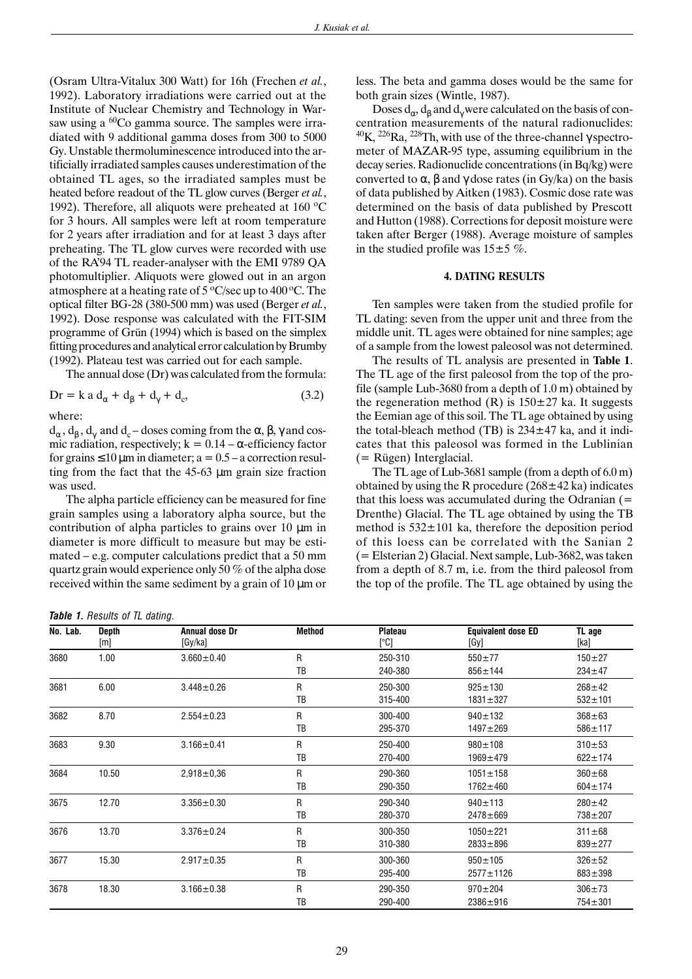(Osram Ultra-Vitalux 300 Watt) for 16h (Frechen *et al.*, 1992). Laboratory irradiations were carried out at the Institute of Nuclear Chemistry and Technology in Warsaw using a  ${}^{60}$ Co gamma source. The samples were irradiated with 9 additional gamma doses from 300 to 5000 Gy. Unstable thermoluminescence introduced into the artificially irradiated samples causes underestimation of the obtained TL ages, so the irradiated samples must be heated before readout of the TL glow curves (Berger *et al.*, 1992). Therefore, all aliquots were preheated at  $160^{\circ}$ C for 3 hours. All samples were left at room temperature for 2 years after irradiation and for at least 3 days after preheating. The TL glow curves were recorded with use of the RA'94 TL reader-analyser with the EMI 9789 QA photomultiplier. Aliquots were glowed out in an argon atmosphere at a heating rate of  $5^{\circ}$ C/sec up to  $400^{\circ}$ C. The optical filter BG-28 (380-500 mm) was used (Berger *et al.*, 1992). Dose response was calculated with the FIT-SIM programme of Grün (1994) which is based on the simplex fitting procedures and analytical error calculation by Brumby (1992). Plateau test was carried out for each sample.

The annual dose (Dr) was calculated from the formula:

$$
Dr = k a d_{\alpha} + d_{\beta} + d_{\gamma} + d_c,
$$
\n(3.2)

where:

 $d_{\alpha}$ ,  $d_{\beta}$ ,  $d_{\gamma}$  and  $d_{c}$  – doses coming from the  $\alpha$ ,  $\beta$ ,  $\gamma$  and cosmic radiation, respectively;  $k = 0.14 - \alpha$ -efficiency factor for grains  $\leq 10 \,\mu m$  in diameter; a = 0.5 – a correction resulting from the fact that the 45-63 µm grain size fraction was used.

The alpha particle efficiency can be measured for fine grain samples using a laboratory alpha source, but the contribution of alpha particles to grains over 10 µm in diameter is more difficult to measure but may be estimated – e.g. computer calculations predict that a 50 mm quartz grain would experience only 50 % of the alpha dose received within the same sediment by a grain of 10 µm or less. The beta and gamma doses would be the same for both grain sizes (Wintle, 1987).

Doses  $d_{\alpha}$ ,  $d_{\beta}$  and  $d_{\gamma}$  were calculated on the basis of concentration measurements of the natural radionuclides:  $^{40}$ K,  $^{226}$ Ra,  $^{228}$ Th, with use of the three-channel  $\gamma$  spectrometer of MAZAR-95 type, assuming equilibrium in the decay series. Radionuclide concentrations (in Bq/kg) were converted to  $\alpha$ ,  $\beta$  and  $\gamma$  dose rates (in Gy/ka) on the basis of data published by Aitken (1983). Cosmic dose rate was determined on the basis of data published by Prescott and Hutton (1988). Corrections for deposit moisture were taken after Berger (1988). Average moisture of samples in the studied profile was  $15±5$  %.

#### **4. DATING RESULTS**

Ten samples were taken from the studied profile for TL dating: seven from the upper unit and three from the middle unit. TL ages were obtained for nine samples; age of a sample from the lowest paleosol was not determined.

The results of TL analysis are presented in **Table 1**. The TL age of the first paleosol from the top of the profile (sample Lub-3680 from a depth of 1.0 m) obtained by the regeneration method  $(R)$  is  $150\pm27$  ka. It suggests the Eemian age of this soil. The TL age obtained by using the total-bleach method (TB) is  $234 \pm 47$  ka, and it indicates that this paleosol was formed in the Lublinian (= Rügen) Interglacial.

The TL age of Lub-3681 sample (from a depth of 6.0 m) obtained by using the R procedure  $(268 \pm 42 \text{ ka})$  indicates that this loess was accumulated during the Odranian  $(=$ Drenthe) Glacial. The TL age obtained by using the TB method is  $532 \pm 101$  ka, therefore the deposition period of this loess can be correlated with the Sanian 2 (= Elsterian 2) Glacial. Next sample, Lub-3682, was taken from a depth of 8.7 m, i.e. from the third paleosol from the top of the profile. The TL age obtained by using the

|  |  | Table 1. Results of TL dating. |  |  |  |
|--|--|--------------------------------|--|--|--|
|--|--|--------------------------------|--|--|--|

| No. Lab. | <b>Depth</b><br>[m] | Annual dose Dr<br>[Gy/ka] | <b>Method</b> | <b>Plateau</b><br>[°C] | <b>Equivalent dose ED</b><br>[Gy] | TL age<br>[ka] |
|----------|---------------------|---------------------------|---------------|------------------------|-----------------------------------|----------------|
| 3680     | 1.00                | $3.660 \pm 0.40$          | R             | 250-310                | $550 + 77$                        | $150 + 27$     |
|          |                     |                           | TB            | 240-380                | $856 \pm 144$                     | $234 \pm 47$   |
| 3681     | 6.00                | $3.448 \pm 0.26$          | R             | 250-300                | $925 \pm 130$                     | $268 \pm 42$   |
|          |                     |                           | TB            | 315-400                | $1831 \pm 327$                    | $532 + 101$    |
| 3682     | 8.70                | $2.554 \pm 0.23$          | R             | 300-400                | $940 \pm 132$                     | $368 + 63$     |
|          |                     |                           | TB            | 295-370                | $1497 + 269$                      | $586 \pm 117$  |
| 3683     | 9.30                | $3.166 \pm 0.41$          | R             | 250-400                | $980 \pm 108$                     | $310 + 53$     |
|          |                     |                           | TB            | 270-400                | $1969 + 479$                      | $622 \pm 174$  |
| 3684     | 10.50               | $2,918 \pm 0,36$          | R             | 290-360                | $1051 \pm 158$                    | $360 + 68$     |
|          |                     |                           | TB            | 290-350                | $1762 \pm 460$                    | $604 \pm 174$  |
| 3675     | 12.70               | $3.356 \pm 0.30$          | R             | 290-340                | $940 \pm 113$                     | $280 \pm 42$   |
|          |                     |                           | TB            | 280-370                | $2478 + 669$                      | 738±207        |
| 3676     | 13.70               | $3.376 \pm 0.24$          | R             | 300-350                | $1050 + 221$                      | $311 \pm 68$   |
|          |                     |                           | TB            | 310-380                | $2833 + 896$                      | $839 \pm 277$  |
| 3677     | 15.30               | $2.917 \pm 0.35$          | R             | 300-360                | $950 \pm 105$                     | $326 + 52$     |
|          |                     |                           | TB            | 295-400                | $2577 \pm 1126$                   | $883 \pm 398$  |
| 3678     | 18.30               | $3.166 \pm 0.38$          | R             | 290-350                | $970 \pm 204$                     | $306 + 73$     |
|          |                     |                           | TB            | 290-400                | 2386±916                          | $754 \pm 301$  |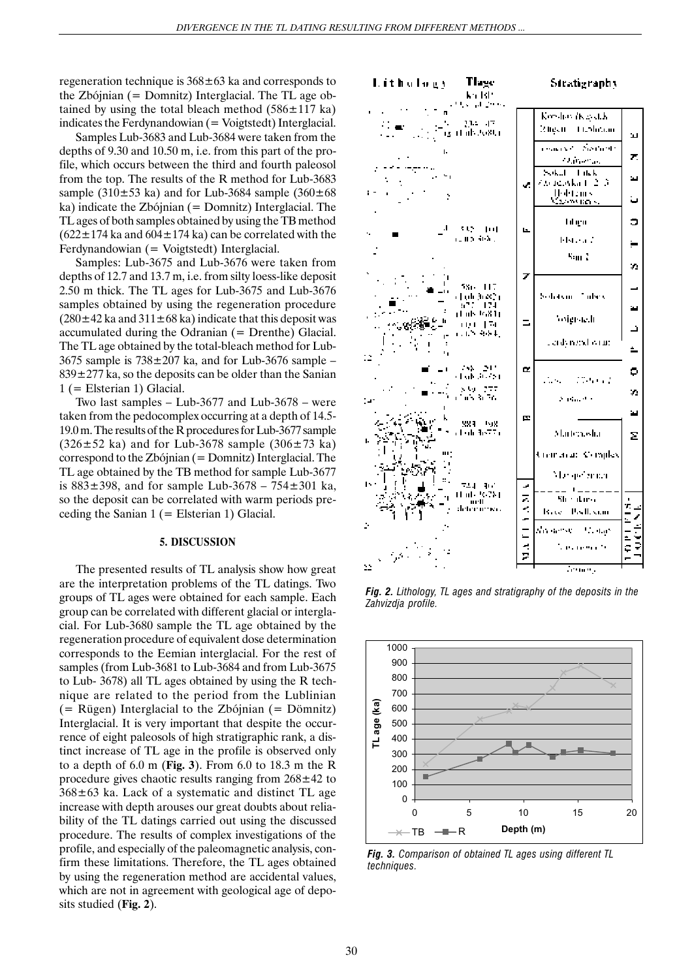regeneration technique is  $368 \pm 63$  ka and corresponds to the Zbójnian (= Domnitz) Interglacial. The TL age obtained by using the total bleach method  $(586 \pm 117 \text{ ka})$ indicates the Ferdynandowian  $($  = Voigtstedt) Interglacial.

Samples Lub-3683 and Lub-3684 were taken from the depths of 9.30 and 10.50 m, i.e. from this part of the profile, which occurs between the third and fourth paleosol from the top. The results of the R method for Lub-3683 sample (310 $\pm$ 53 ka) and for Lub-3684 sample (360 $\pm$ 68 ka) indicate the Zbójnian (= Domnitz) Interglacial. The TL ages of both samples obtained by using the TB method  $(622 \pm 174$  ka and  $604 \pm 174$  ka) can be correlated with the Ferdynandowian (= Voigtstedt) Interglacial.

Samples: Lub-3675 and Lub-3676 were taken from depths of 12.7 and 13.7 m, i.e. from silty loess-like deposit 2.50 m thick. The TL ages for Lub-3675 and Lub-3676 samples obtained by using the regeneration procedure  $(280\pm42 \text{ ka}$  and  $311\pm68 \text{ ka})$  indicate that this deposit was accumulated during the Odranian (= Drenthe) Glacial. The TL age obtained by the total-bleach method for Lub-3675 sample is  $738 \pm 207$  ka, and for Lub-3676 sample –  $839 \pm 277$  ka, so the deposits can be older than the Sanian 1 (= Elsterian 1) Glacial.

Two last samples – Lub-3677 and Lub-3678 – were taken from the pedocomplex occurring at a depth of 14.5- 19.0 m. The results of the R procedures for Lub-3677 sample  $(326 \pm 52 \text{ ka})$  and for Lub-3678 sample  $(306 \pm 73 \text{ ka})$ correspond to the Zbójnian (= Domnitz) Interglacial. The TL age obtained by the TB method for sample Lub-3677 is  $883 \pm 398$ , and for sample Lub-3678 – 754 $\pm 301$  ka, so the deposit can be correlated with warm periods preceding the Sanian  $1$  (= Elsterian 1) Glacial.

#### **5. DISCUSSION**

The presented results of TL analysis show how great are the interpretation problems of the TL datings. Two groups of TL ages were obtained for each sample. Each group can be correlated with different glacial or interglacial. For Lub-3680 sample the TL age obtained by the regeneration procedure of equivalent dose determination corresponds to the Eemian interglacial. For the rest of samples (from Lub-3681 to Lub-3684 and from Lub-3675 to Lub- 3678) all TL ages obtained by using the R technique are related to the period from the Lublinian  $($  = Rügen) Interglacial to the Zbójnian  $($  = Dömnitz $)$ Interglacial. It is very important that despite the occurrence of eight paleosols of high stratigraphic rank, a distinct increase of TL age in the profile is observed only to a depth of 6.0 m (**Fig. 3**). From 6.0 to 18.3 m the R procedure gives chaotic results ranging from  $268 \pm 42$  to  $368\pm63$  ka. Lack of a systematic and distinct TL age increase with depth arouses our great doubts about reliability of the TL datings carried out using the discussed procedure. The results of complex investigations of the profile, and especially of the paleomagnetic analysis, confirm these limitations. Therefore, the TL ages obtained by using the regeneration method are accidental values, which are not in agreement with geological age of deposits studied (**Fig. 2**).



*Fig. 2. Lithology, TL ages and stratigraphy of the deposits in the Zahvizdja profile.*



*Fig. 3. Comparison of obtained TL ages using different TL techniques.*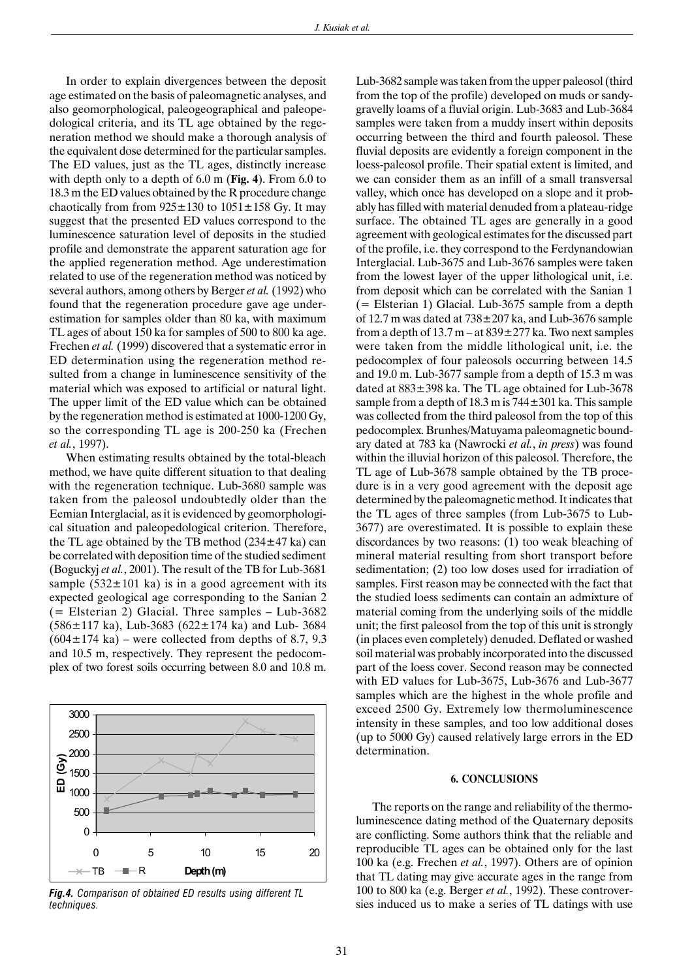In order to explain divergences between the deposit age estimated on the basis of paleomagnetic analyses, and also geomorphological, paleogeographical and paleopedological criteria, and its TL age obtained by the regeneration method we should make a thorough analysis of the equivalent dose determined for the particular samples. The ED values, just as the TL ages, distinctly increase with depth only to a depth of 6.0 m (**Fig. 4**). From 6.0 to 18.3 m the ED values obtained by the R procedure change chaotically from from  $925 \pm 130$  to  $1051 \pm 158$  Gy. It may suggest that the presented ED values correspond to the luminescence saturation level of deposits in the studied profile and demonstrate the apparent saturation age for the applied regeneration method. Age underestimation related to use of the regeneration method was noticed by several authors, among others by Berger *et al.* (1992) who found that the regeneration procedure gave age underestimation for samples older than 80 ka, with maximum TL ages of about 150 ka for samples of 500 to 800 ka age. Frechen *et al.* (1999) discovered that a systematic error in ED determination using the regeneration method resulted from a change in luminescence sensitivity of the material which was exposed to artificial or natural light. The upper limit of the ED value which can be obtained by the regeneration method is estimated at 1000-1200 Gy, so the corresponding TL age is 200-250 ka (Frechen *et al.*, 1997).

When estimating results obtained by the total-bleach method, we have quite different situation to that dealing with the regeneration technique. Lub-3680 sample was taken from the paleosol undoubtedly older than the Eemian Interglacial, as it is evidenced by geomorphological situation and paleopedological criterion. Therefore, the TL age obtained by the TB method  $(234 \pm 47 \text{ ka})$  can be correlated with deposition time of the studied sediment (Boguckyj *et al.*, 2001). The result of the TB for Lub-3681 sample ( $532 \pm 101$  ka) is in a good agreement with its expected geological age corresponding to the Sanian 2 (= Elsterian 2) Glacial. Three samples – Lub-3682  $(586 \pm 117 \text{ ka})$ , Lub-3683  $(622 \pm 174 \text{ ka})$  and Lub- 3684  $(604 \pm 174 \text{ ka})$  – were collected from depths of 8.7, 9.3 and 10.5 m, respectively. They represent the pedocomplex of two forest soils occurring between 8.0 and 10.8 m.



*Fig.4. Comparison of obtained ED results using different TL techniques.*

Lub-3682 sample was taken from the upper paleosol (third from the top of the profile) developed on muds or sandygravelly loams of a fluvial origin. Lub-3683 and Lub-3684 samples were taken from a muddy insert within deposits occurring between the third and fourth paleosol. These fluvial deposits are evidently a foreign component in the loess-paleosol profile. Their spatial extent is limited, and we can consider them as an infill of a small transversal valley, which once has developed on a slope and it probably has filled with material denuded from a plateau-ridge surface. The obtained TL ages are generally in a good agreement with geological estimates for the discussed part of the profile, i.e. they correspond to the Ferdynandowian Interglacial. Lub-3675 and Lub-3676 samples were taken from the lowest layer of the upper lithological unit, i.e. from deposit which can be correlated with the Sanian 1 (= Elsterian 1) Glacial. Lub-3675 sample from a depth of 12.7 m was dated at  $738 \pm 207$  ka, and Lub-3676 sample from a depth of  $13.7$  m – at  $839 \pm 277$  ka. Two next samples were taken from the middle lithological unit, i.e. the pedocomplex of four paleosols occurring between 14.5 and 19.0 m. Lub-3677 sample from a depth of 15.3 m was dated at 883±398 ka. The TL age obtained for Lub-3678 sample from a depth of  $18.3$  m is  $744 \pm 301$  ka. This sample was collected from the third paleosol from the top of this pedocomplex. Brunhes/Matuyama paleomagnetic boundary dated at 783 ka (Nawrocki *et al.*, *in press*) was found within the illuvial horizon of this paleosol. Therefore, the TL age of Lub-3678 sample obtained by the TB procedure is in a very good agreement with the deposit age determined by the paleomagnetic method. It indicates that the TL ages of three samples (from Lub-3675 to Lub-3677) are overestimated. It is possible to explain these discordances by two reasons: (1) too weak bleaching of mineral material resulting from short transport before sedimentation; (2) too low doses used for irradiation of samples. First reason may be connected with the fact that the studied loess sediments can contain an admixture of material coming from the underlying soils of the middle unit; the first paleosol from the top of this unit is strongly (in places even completely) denuded. Deflated or washed soil material was probably incorporated into the discussed part of the loess cover. Second reason may be connected with ED values for Lub-3675, Lub-3676 and Lub-3677 samples which are the highest in the whole profile and exceed 2500 Gy. Extremely low thermoluminescence intensity in these samples, and too low additional doses (up to 5000 Gy) caused relatively large errors in the ED determination.

#### **6. CONCLUSIONS**

The reports on the range and reliability of the thermoluminescence dating method of the Quaternary deposits are conflicting. Some authors think that the reliable and reproducible TL ages can be obtained only for the last 100 ka (e.g. Frechen *et al.*, 1997). Others are of opinion that TL dating may give accurate ages in the range from 100 to 800 ka (e.g. Berger *et al.*, 1992). These controversies induced us to make a series of TL datings with use